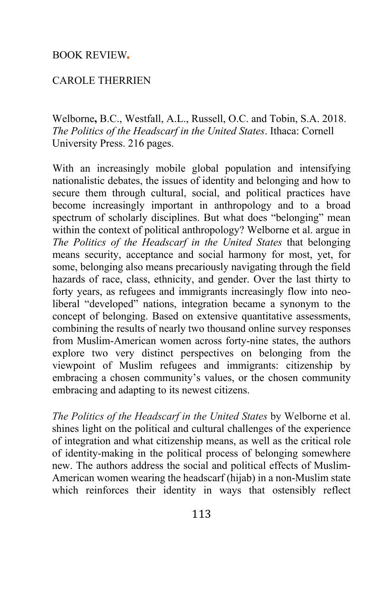### BOOK REVIEW

### CAROLE THERRIEN

Welborne**,** B.C., Westfall, A.L., Russell, O.C. and Tobin, S.A. 2018. *The Politics of the Headscarf in the United States*. Ithaca: Cornell University Press. 216 pages.

With an increasingly mobile global population and intensifying nationalistic debates, the issues of identity and belonging and how to secure them through cultural, social, and political practices have become increasingly important in anthropology and to a broad spectrum of scholarly disciplines. But what does "belonging" mean within the context of political anthropology? Welborne et al. argue in *The Politics of the Headscarf in the United States* that belonging means security, acceptance and social harmony for most, yet, for some, belonging also means precariously navigating through the field hazards of race, class, ethnicity, and gender. Over the last thirty to forty years, as refugees and immigrants increasingly flow into neoliberal "developed" nations, integration became a synonym to the concept of belonging. Based on extensive quantitative assessments, combining the results of nearly two thousand online survey responses from Muslim-American women across forty-nine states, the authors explore two very distinct perspectives on belonging from the viewpoint of Muslim refugees and immigrants: citizenship by embracing a chosen community's values, or the chosen community embracing and adapting to its newest citizens.

*The Politics of the Headscarf in the United States* by Welborne et al. shines light on the political and cultural challenges of the experience of integration and what citizenship means, as well as the critical role of identity-making in the political process of belonging somewhere new. The authors address the social and political effects of Muslim-American women wearing the headscarf (hijab) in a non-Muslim state which reinforces their identity in ways that ostensibly reflect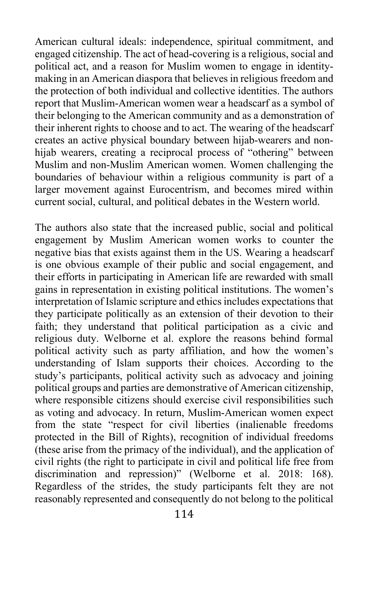American cultural ideals: independence, spiritual commitment, and engaged citizenship. The act of head-covering is a religious, social and political act, and a reason for Muslim women to engage in identitymaking in an American diaspora that believes in religious freedom and the protection of both individual and collective identities. The authors report that Muslim-American women wear a headscarf as a symbol of their belonging to the American community and as a demonstration of their inherent rights to choose and to act. The wearing of the headscarf creates an active physical boundary between hijab-wearers and nonhijab wearers, creating a reciprocal process of "othering" between Muslim and non-Muslim American women. Women challenging the boundaries of behaviour within a religious community is part of a larger movement against Eurocentrism, and becomes mired within current social, cultural, and political debates in the Western world.

The authors also state that the increased public, social and political engagement by Muslim American women works to counter the negative bias that exists against them in the US. Wearing a headscarf is one obvious example of their public and social engagement, and their efforts in participating in American life are rewarded with small gains in representation in existing political institutions. The women's interpretation of Islamic scripture and ethics includes expectations that they participate politically as an extension of their devotion to their faith; they understand that political participation as a civic and religious duty. Welborne et al. explore the reasons behind formal political activity such as party affiliation, and how the women's understanding of Islam supports their choices. According to the study's participants, political activity such as advocacy and joining political groups and parties are demonstrative of American citizenship, where responsible citizens should exercise civil responsibilities such as voting and advocacy. In return, Muslim-American women expect from the state "respect for civil liberties (inalienable freedoms protected in the Bill of Rights), recognition of individual freedoms (these arise from the primacy of the individual), and the application of civil rights (the right to participate in civil and political life free from discrimination and repression)" (Welborne et al. 2018: 168). Regardless of the strides, the study participants felt they are not reasonably represented and consequently do not belong to the political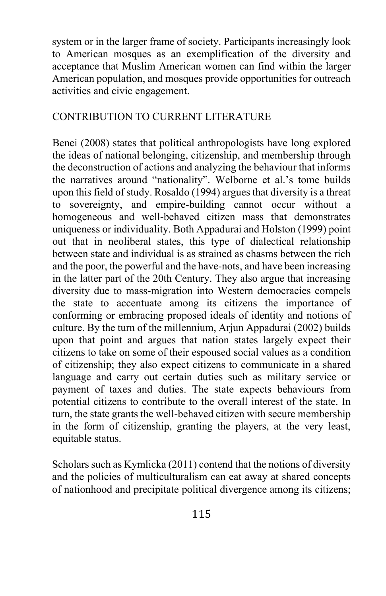system or in the larger frame of society. Participants increasingly look to American mosques as an exemplification of the diversity and acceptance that Muslim American women can find within the larger American population, and mosques provide opportunities for outreach activities and civic engagement.

# CONTRIBUTION TO CURRENT LITERATURE

Benei (2008) states that political anthropologists have long explored the ideas of national belonging, citizenship, and membership through the deconstruction of actions and analyzing the behaviour that informs the narratives around "nationality". Welborne et al.'s tome builds upon this field of study. Rosaldo (1994) argues that diversity is a threat to sovereignty, and empire-building cannot occur without a homogeneous and well-behaved citizen mass that demonstrates uniqueness or individuality. Both Appadurai and Holston (1999) point out that in neoliberal states, this type of dialectical relationship between state and individual is as strained as chasms between the rich and the poor, the powerful and the have-nots, and have been increasing in the latter part of the 20th Century. They also argue that increasing diversity due to mass-migration into Western democracies compels the state to accentuate among its citizens the importance of conforming or embracing proposed ideals of identity and notions of culture. By the turn of the millennium, Arjun Appadurai (2002) builds upon that point and argues that nation states largely expect their citizens to take on some of their espoused social values as a condition of citizenship; they also expect citizens to communicate in a shared language and carry out certain duties such as military service or payment of taxes and duties. The state expects behaviours from potential citizens to contribute to the overall interest of the state. In turn, the state grants the well-behaved citizen with secure membership in the form of citizenship, granting the players, at the very least, equitable status.

Scholars such as Kymlicka (2011) contend that the notions of diversity and the policies of multiculturalism can eat away at shared concepts of nationhood and precipitate political divergence among its citizens;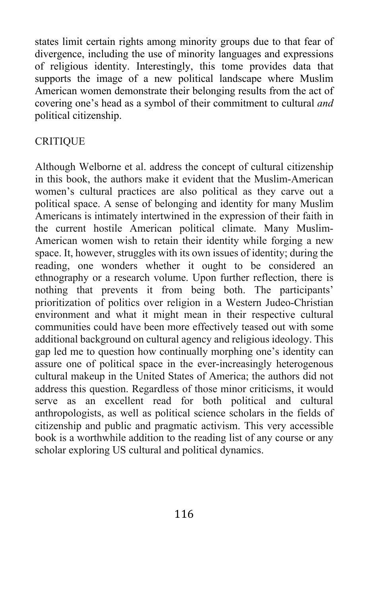states limit certain rights among minority groups due to that fear of divergence, including the use of minority languages and expressions of religious identity. Interestingly, this tome provides data that supports the image of a new political landscape where Muslim American women demonstrate their belonging results from the act of covering one's head as a symbol of their commitment to cultural *and* political citizenship.

## **CRITIOUE**

Although Welborne et al. address the concept of cultural citizenship in this book, the authors make it evident that the Muslim-American women's cultural practices are also political as they carve out a political space. A sense of belonging and identity for many Muslim Americans is intimately intertwined in the expression of their faith in the current hostile American political climate. Many Muslim-American women wish to retain their identity while forging a new space. It, however, struggles with its own issues of identity; during the reading, one wonders whether it ought to be considered an ethnography or a research volume. Upon further reflection, there is nothing that prevents it from being both. The participants' prioritization of politics over religion in a Western Judeo-Christian environment and what it might mean in their respective cultural communities could have been more effectively teased out with some additional background on cultural agency and religious ideology. This gap led me to question how continually morphing one's identity can assure one of political space in the ever-increasingly heterogenous cultural makeup in the United States of America; the authors did not address this question. Regardless of those minor criticisms, it would serve as an excellent read for both political and cultural anthropologists, as well as political science scholars in the fields of citizenship and public and pragmatic activism. This very accessible book is a worthwhile addition to the reading list of any course or any scholar exploring US cultural and political dynamics.